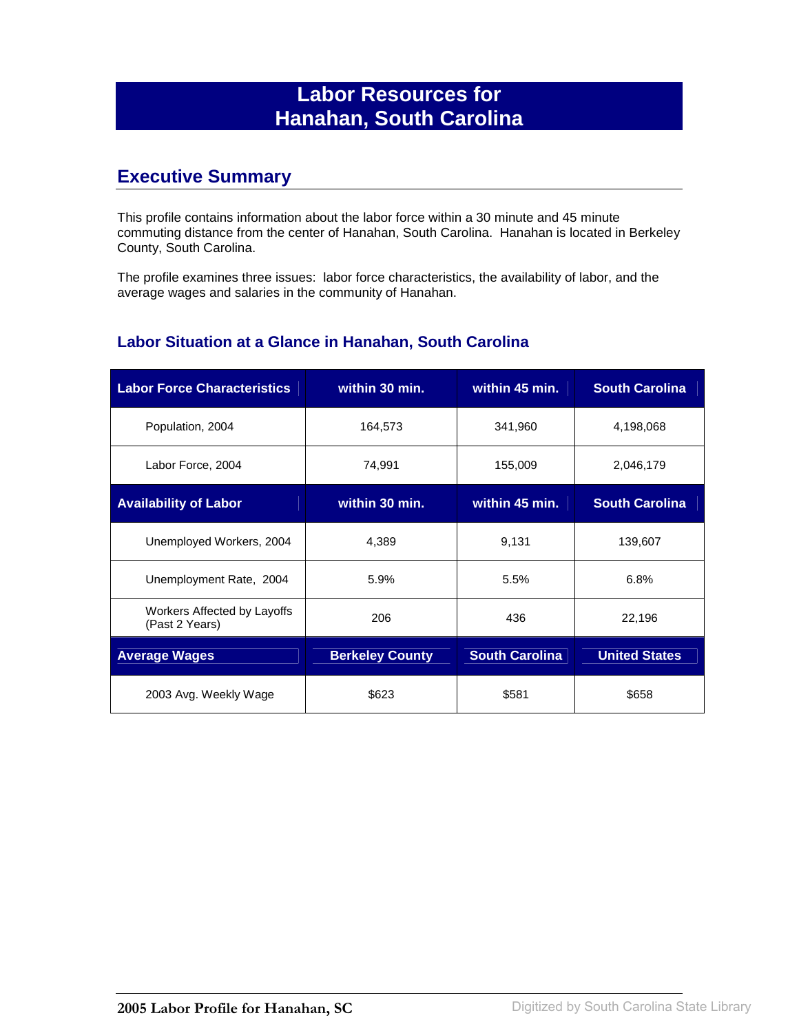## **Labor Resources for Hanahan, South Carolina**

## **Executive Summary**

This profile contains information about the labor force within a 30 minute and 45 minute commuting distance from the center of Hanahan, South Carolina. Hanahan is located in Berkeley County, South Carolina.

The profile examines three issues: labor force characteristics, the availability of labor, and the average wages and salaries in the community of Hanahan.

#### **Labor Situation at a Glance in Hanahan, South Carolina**

| <b>Labor Force Characteristics</b>            | within 30 min.         | within 45 min.        | <b>South Carolina</b> |
|-----------------------------------------------|------------------------|-----------------------|-----------------------|
| Population, 2004                              | 164,573                | 341,960               | 4,198,068             |
| Labor Force, 2004                             | 74,991                 | 155,009               | 2,046,179             |
| <b>Availability of Labor</b>                  | within 30 min.         | within 45 min.        | <b>South Carolina</b> |
| Unemployed Workers, 2004                      | 4,389                  | 9,131                 | 139,607               |
| Unemployment Rate, 2004                       | 5.9%                   | 5.5%                  | 6.8%                  |
| Workers Affected by Layoffs<br>(Past 2 Years) | 206                    | 436                   | 22,196                |
| <b>Average Wages</b>                          | <b>Berkeley County</b> | <b>South Carolina</b> | <b>United States</b>  |
| 2003 Avg. Weekly Wage                         | \$623                  | \$581                 | \$658                 |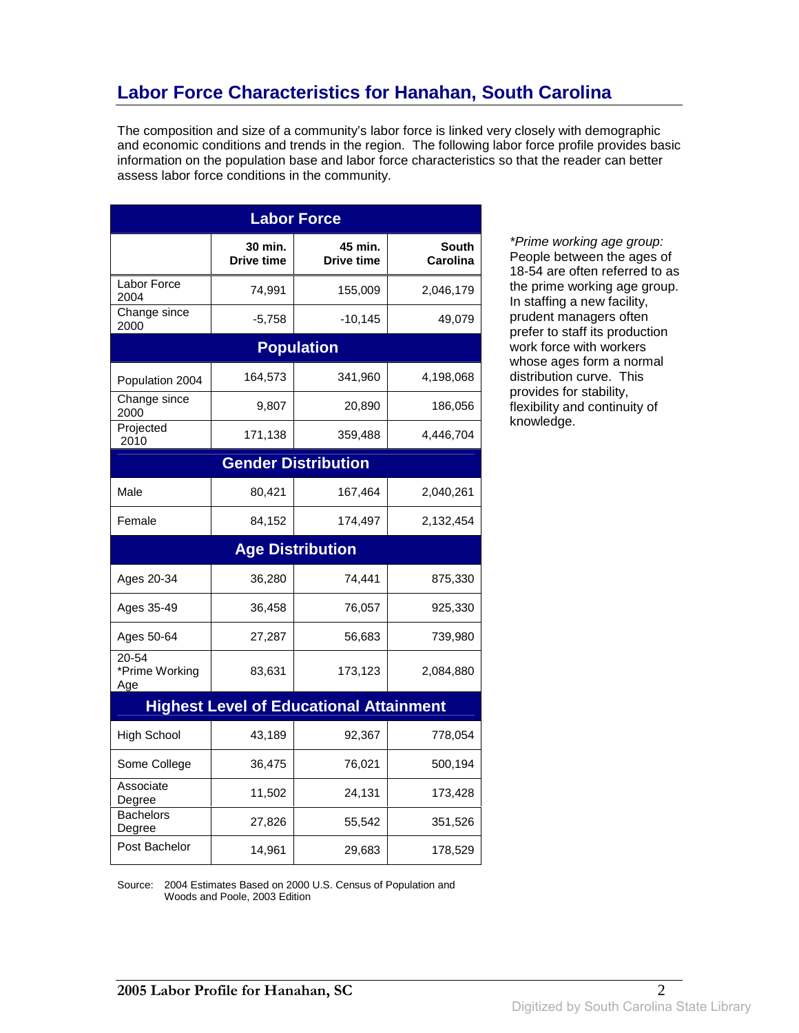# **Labor Force Characteristics for Hanahan, South Carolina**

The composition and size of a community's labor force is linked very closely with demographic and economic conditions and trends in the region. The following labor force profile provides basic information on the population base and labor force characteristics so that the reader can better assess labor force conditions in the community.

| <b>Labor Force</b>             |                              |                                                |                          |  |
|--------------------------------|------------------------------|------------------------------------------------|--------------------------|--|
|                                | 30 min.<br><b>Drive time</b> | 45 min.<br>Drive time                          | <b>South</b><br>Carolina |  |
| Labor Force<br>2004            | 74,991                       | 155,009                                        | 2,046,179                |  |
| Change since<br>2000           | $-5,758$                     | $-10,145$                                      | 49,079                   |  |
|                                |                              | <b>Population</b>                              |                          |  |
| Population 2004                | 164,573                      | 341,960                                        | 4,198,068                |  |
| Change since<br>2000           | 9,807                        | 20,890                                         | 186,056                  |  |
| Projected<br>2010              | 171,138                      | 359,488                                        | 4,446,704                |  |
|                                |                              | <b>Gender Distribution</b>                     |                          |  |
| Male                           | 80,421                       | 167,464                                        | 2,040,261                |  |
| Female                         | 84,152                       | 174,497                                        | 2,132,454                |  |
|                                |                              | <b>Age Distribution</b>                        |                          |  |
| Ages 20-34                     | 36,280                       | 74,441                                         | 875,330                  |  |
| Ages 35-49                     | 36,458                       | 76,057                                         | 925,330                  |  |
| Ages 50-64                     | 27,287                       | 56,683                                         | 739,980                  |  |
| 20-54<br>*Prime Working<br>Age | 83,631                       | 173,123                                        | 2,084,880                |  |
|                                |                              | <b>Highest Level of Educational Attainment</b> |                          |  |
| <b>High School</b>             | 43,189                       | 92,367                                         | 778,054                  |  |
| Some College                   | 36,475                       | 76,021                                         | 500,194                  |  |
| Associate<br>Degree            | 11,502                       | 24,131                                         | 173,428                  |  |
| <b>Bachelors</b><br>Degree     | 27,826                       | 55,542                                         | 351,526                  |  |
| Post Bachelor                  | 14,961                       | 29,683                                         | 178,529                  |  |

\*Prime working age group: People between the ages of 18-54 are often referred to as the prime working age group. In staffing a new facility, prudent managers often prefer to staff its production work force with workers whose ages form a normal distribution curve. This provides for stability, flexibility and continuity of knowledge.

Source: 2004 Estimates Based on 2000 U.S. Census of Population and Woods and Poole, 2003 Edition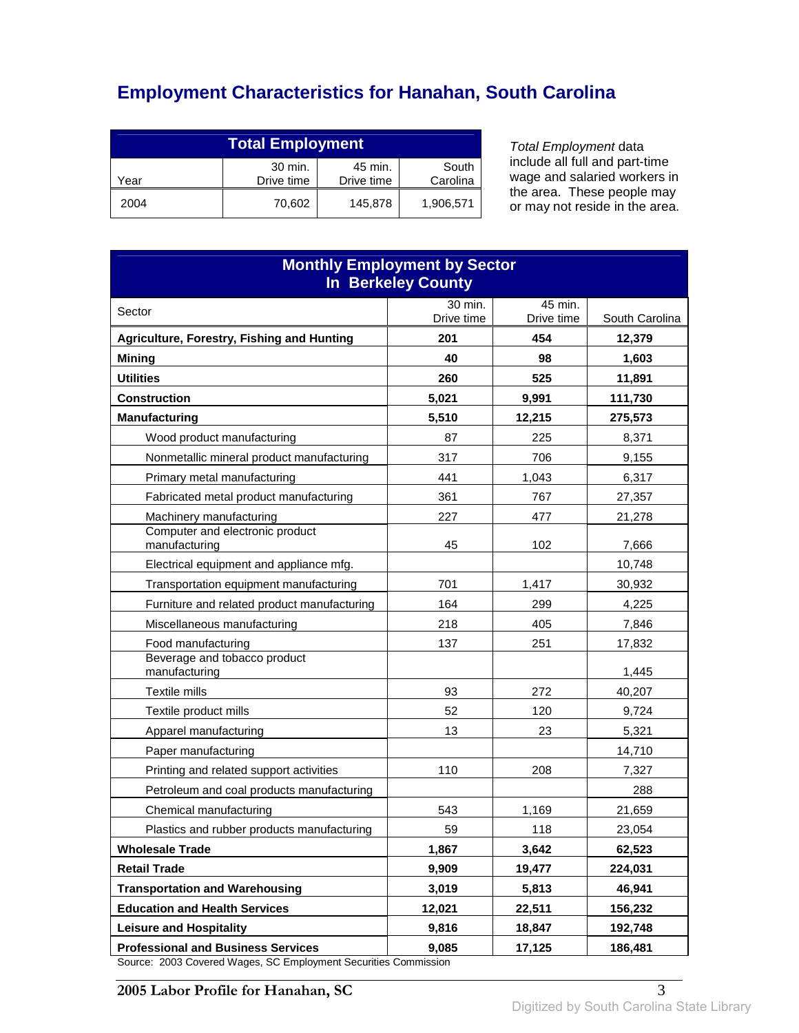# **Employment Characteristics for Hanahan, South Carolina**

| <b>Total Employment</b>                                                     |        |         |           |  |
|-----------------------------------------------------------------------------|--------|---------|-----------|--|
| 30 min.<br>South<br>45 min.<br>Drive time<br>Carolina<br>Drive time<br>Year |        |         |           |  |
| 2004                                                                        | 70,602 | 145,878 | 1,906,571 |  |

Total Employment data include all full and part-time wage and salaried workers in the area. These people may or may not reside in the area.

| <b>Monthly Employment by Sector</b><br><b>In Berkeley County</b>                                           |                   |                       |                          |  |  |  |  |  |
|------------------------------------------------------------------------------------------------------------|-------------------|-----------------------|--------------------------|--|--|--|--|--|
| Sector                                                                                                     | 30 min.           | 45 min.<br>Drive time |                          |  |  |  |  |  |
|                                                                                                            | Drive time<br>201 | 454                   | South Carolina<br>12,379 |  |  |  |  |  |
| Agriculture, Forestry, Fishing and Hunting<br><b>Mining</b>                                                | 40                | 98                    | 1,603                    |  |  |  |  |  |
| <b>Utilities</b>                                                                                           | 260               | 525                   | 11,891                   |  |  |  |  |  |
| <b>Construction</b>                                                                                        | 5,021             | 9,991                 | 111,730                  |  |  |  |  |  |
| Manufacturing                                                                                              | 5,510             | 12,215                | 275,573                  |  |  |  |  |  |
| Wood product manufacturing                                                                                 | 87                | 225                   | 8,371                    |  |  |  |  |  |
| Nonmetallic mineral product manufacturing                                                                  | 317               | 706                   | 9,155                    |  |  |  |  |  |
| Primary metal manufacturing                                                                                | 441               | 1,043                 | 6,317                    |  |  |  |  |  |
| Fabricated metal product manufacturing                                                                     | 361               | 767                   | 27,357                   |  |  |  |  |  |
| Machinery manufacturing                                                                                    | 227               | 477                   | 21,278                   |  |  |  |  |  |
| Computer and electronic product<br>manufacturing                                                           | 45                | 102                   | 7,666                    |  |  |  |  |  |
| Electrical equipment and appliance mfg.                                                                    |                   |                       | 10,748                   |  |  |  |  |  |
| Transportation equipment manufacturing                                                                     | 701               | 1,417                 | 30,932                   |  |  |  |  |  |
| Furniture and related product manufacturing                                                                | 164               | 299                   | 4,225                    |  |  |  |  |  |
| Miscellaneous manufacturing                                                                                | 218               | 405                   | 7,846                    |  |  |  |  |  |
| Food manufacturing                                                                                         | 137               | 251                   | 17,832                   |  |  |  |  |  |
| Beverage and tobacco product<br>manufacturing                                                              |                   |                       | 1,445                    |  |  |  |  |  |
| Textile mills                                                                                              | 93                | 272                   | 40,207                   |  |  |  |  |  |
| Textile product mills                                                                                      | 52                | 120                   | 9,724                    |  |  |  |  |  |
| Apparel manufacturing                                                                                      | 13                | 23                    | 5,321                    |  |  |  |  |  |
| Paper manufacturing                                                                                        |                   |                       | 14,710                   |  |  |  |  |  |
| Printing and related support activities                                                                    | 110               | 208                   | 7,327                    |  |  |  |  |  |
| Petroleum and coal products manufacturing                                                                  |                   |                       | 288                      |  |  |  |  |  |
| Chemical manufacturing                                                                                     | 543               | 1,169                 | 21,659                   |  |  |  |  |  |
| Plastics and rubber products manufacturing                                                                 | 59                | 118                   | 23,054                   |  |  |  |  |  |
| <b>Wholesale Trade</b>                                                                                     | 1,867             | 3,642                 | 62,523                   |  |  |  |  |  |
| <b>Retail Trade</b>                                                                                        | 9,909             | 19,477                | 224,031                  |  |  |  |  |  |
| <b>Transportation and Warehousing</b>                                                                      | 3,019             | 5,813                 | 46,941                   |  |  |  |  |  |
| <b>Education and Health Services</b>                                                                       | 12,021            | 22,511                | 156,232                  |  |  |  |  |  |
| <b>Leisure and Hospitality</b>                                                                             | 9,816             | 18,847                | 192,748                  |  |  |  |  |  |
| <b>Professional and Business Services</b><br>urgo: 2002 Covered Weges, SC Employment Sequrities Commission | 9,085             | 17,125                | 186.481                  |  |  |  |  |  |

Source: 2003 Covered Wages, SC Employment Securities Commission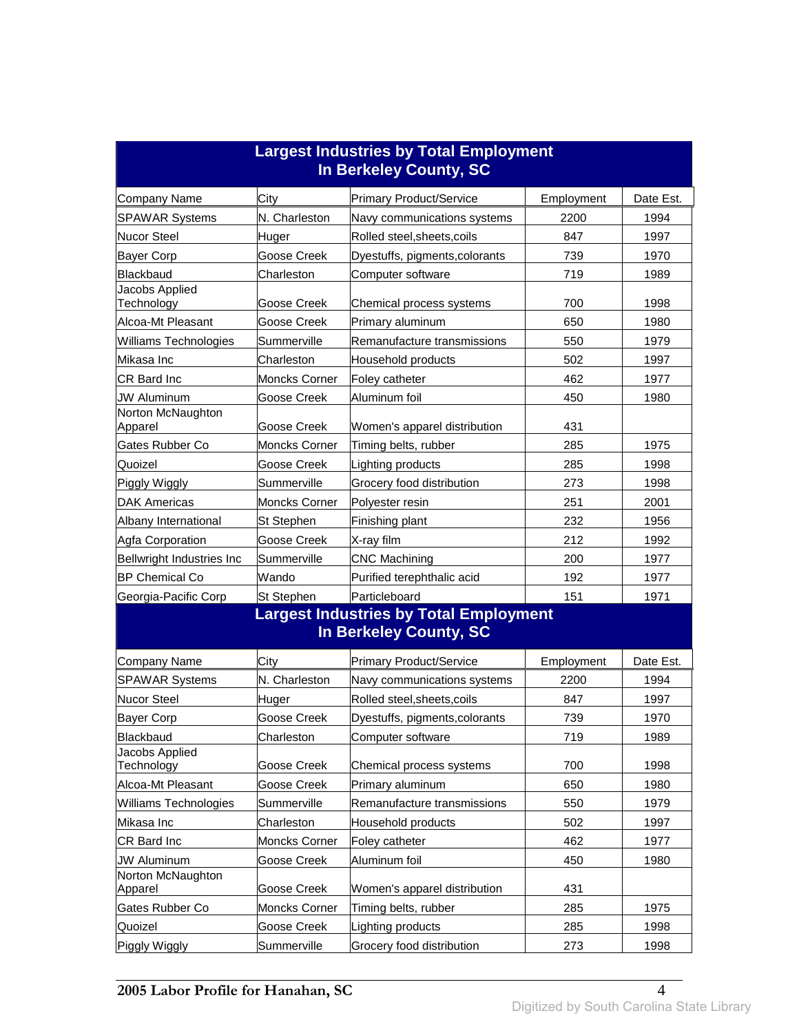| <b>Largest Industries by Total Employment</b><br>In Berkeley County, SC |               |                                               |            |           |  |
|-------------------------------------------------------------------------|---------------|-----------------------------------------------|------------|-----------|--|
| <b>Company Name</b>                                                     | City          | <b>Primary Product/Service</b>                | Employment | Date Est. |  |
| <b>SPAWAR Systems</b>                                                   | N. Charleston | Navy communications systems                   | 2200       | 1994      |  |
| Nucor Steel                                                             | Huger         | Rolled steel, sheets, coils                   | 847        | 1997      |  |
| Bayer Corp                                                              | Goose Creek   | Dyestuffs, pigments, colorants                | 739        | 1970      |  |
| Blackbaud                                                               | Charleston    | Computer software                             | 719        | 1989      |  |
| Jacobs Applied<br>Technology                                            | Goose Creek   | Chemical process systems                      | 700        | 1998      |  |
| Alcoa-Mt Pleasant                                                       | Goose Creek   | Primary aluminum                              | 650        | 1980      |  |
| Williams Technologies                                                   | Summerville   | Remanufacture transmissions                   | 550        | 1979      |  |
| Mikasa Inc                                                              | Charleston    | Household products                            | 502        | 1997      |  |
| <b>CR Bard Inc</b>                                                      | Moncks Corner | Foley catheter                                | 462        | 1977      |  |
| <b>JW Aluminum</b>                                                      | Goose Creek   | Aluminum foil                                 | 450        | 1980      |  |
| Norton McNaughton<br>Apparel                                            | Goose Creek   | Women's apparel distribution                  | 431        |           |  |
| Gates Rubber Co                                                         | Moncks Corner | Timing belts, rubber                          | 285        | 1975      |  |
| Quoizel                                                                 | Goose Creek   | Lighting products                             | 285        | 1998      |  |
| Piggly Wiggly                                                           | Summerville   | Grocery food distribution                     | 273        | 1998      |  |
| <b>DAK Americas</b>                                                     | Moncks Corner | Polyester resin                               | 251        | 2001      |  |
| Albany International                                                    | St Stephen    | Finishing plant                               | 232        | 1956      |  |
| Agfa Corporation                                                        | Goose Creek   | X-ray film                                    | 212        | 1992      |  |
| Bellwright Industries Inc                                               | Summerville   | <b>CNC Machining</b>                          | 200        | 1977      |  |
| <b>BP Chemical Co</b>                                                   | Wando         | Purified terephthalic acid                    | 192        | 1977      |  |
| Georgia-Pacific Corp                                                    | St Stephen    | Particleboard                                 | 151        | 1971      |  |
|                                                                         |               | <b>Largest Industries by Total Employment</b> |            |           |  |
|                                                                         |               | In Berkeley County, SC                        |            |           |  |
| <b>Company Name</b>                                                     | City          | <b>Primary Product/Service</b>                | Employment | Date Est. |  |
| <b>SPAWAR Systems</b>                                                   | N. Charleston | Navy communications systems                   | 2200       | 1994      |  |
| <b>Nucor Steel</b>                                                      | Huger         | Rolled steel, sheets, coils                   | 847        | 1997      |  |
| <b>Bayer Corp</b>                                                       | Goose Creek   | Dyestuffs, pigments, colorants                | 739        | 1970      |  |
| Blackbaud                                                               | Charleston    | Computer software                             | 719        | 1989      |  |
| Jacobs Applied<br>Technology                                            | Goose Creek   | Chemical process systems                      | 700        | 1998      |  |
| Alcoa-Mt Pleasant                                                       | Goose Creek   | Primary aluminum                              | 650        | 1980      |  |
| Williams Technologies                                                   | Summerville   | Remanufacture transmissions                   | 550        | 1979      |  |
| Mikasa Inc                                                              | Charleston    | Household products                            | 502        | 1997      |  |
| CR Bard Inc                                                             | Moncks Corner | Foley catheter                                | 462        | 1977      |  |
| <b>JW Aluminum</b>                                                      | Goose Creek   | Aluminum foil                                 | 450        | 1980      |  |
| Norton McNaughton<br>Apparel                                            | Goose Creek   | Women's apparel distribution                  | 431        |           |  |
| Gates Rubber Co                                                         | Moncks Corner | Timing belts, rubber                          | 285        | 1975      |  |
| Quoizel                                                                 | Goose Creek   | Lighting products                             | 285        | 1998      |  |
| Piggly Wiggly                                                           | Summerville   | Grocery food distribution                     | 273        | 1998      |  |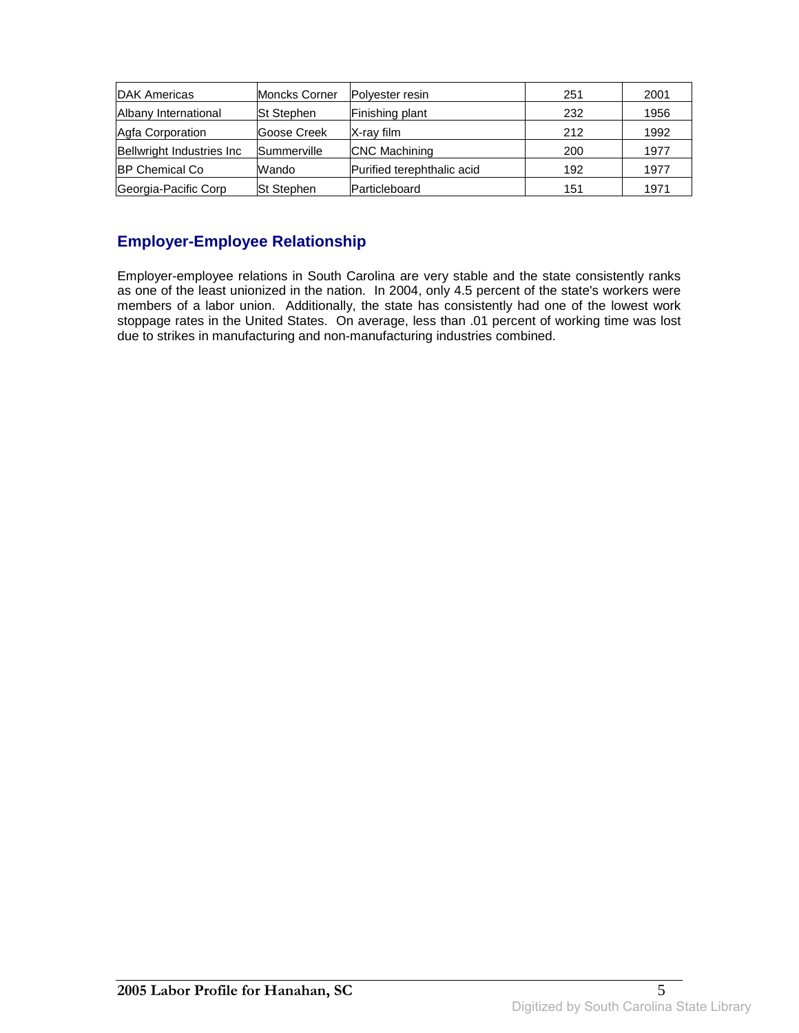| <b>DAK Americas</b>        | <b>Moncks Corner</b> | Polyester resin            | 251 | 2001 |
|----------------------------|----------------------|----------------------------|-----|------|
| Albany International       | <b>St Stephen</b>    | Finishing plant            | 232 | 1956 |
| Agfa Corporation           | Goose Creek          | X-ray film                 | 212 | 1992 |
| Bellwright Industries Inc. | Summerville          | <b>CNC Machining</b>       | 200 | 1977 |
| <b>IBP Chemical Co</b>     | Wando                | Purified terephthalic acid | 192 | 1977 |
| Georgia-Pacific Corp       | <b>St Stephen</b>    | Particleboard              | 151 | 1971 |

#### **Employer-Employee Relationship**

Employer-employee relations in South Carolina are very stable and the state consistently ranks as one of the least unionized in the nation. In 2004, only 4.5 percent of the state's workers were members of a labor union. Additionally, the state has consistently had one of the lowest work stoppage rates in the United States. On average, less than .01 percent of working time was lost due to strikes in manufacturing and non-manufacturing industries combined.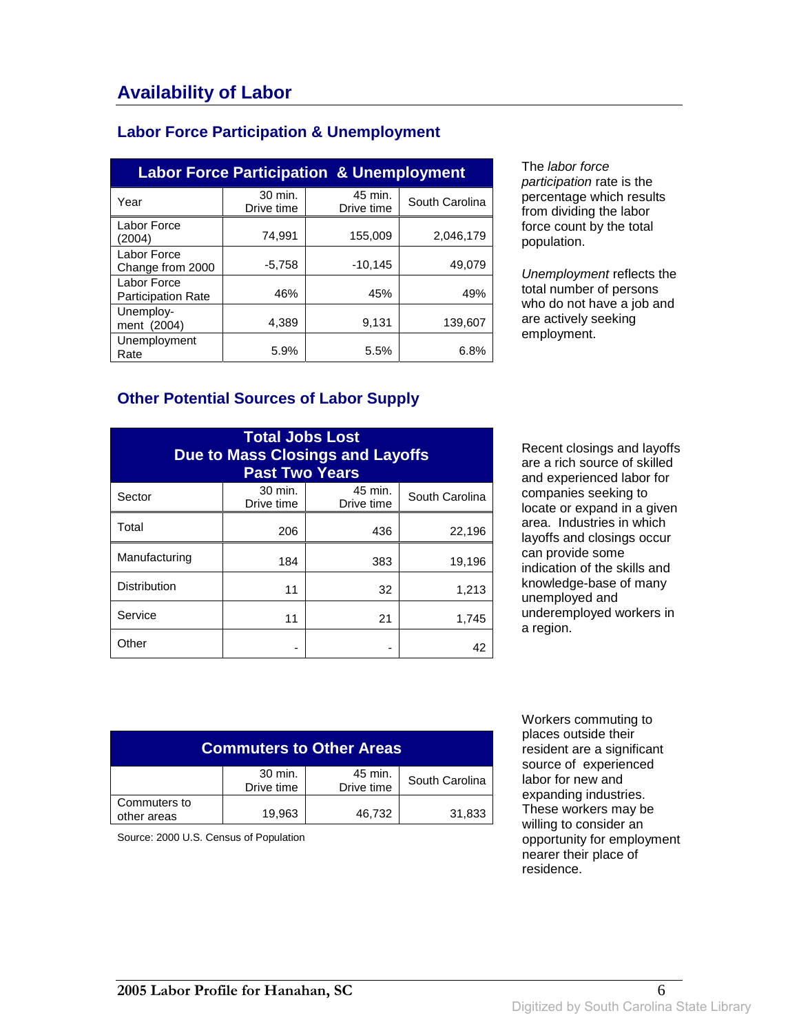### **Labor Force Participation & Unemployment**

| <b>Labor Force Participation &amp; Unemployment</b> |                       |                       |                |  |
|-----------------------------------------------------|-----------------------|-----------------------|----------------|--|
| Year                                                | 30 min.<br>Drive time | 45 min.<br>Drive time | South Carolina |  |
| Labor Force<br>(2004)                               | 74.991                | 155,009               | 2,046,179      |  |
| Labor Force<br>Change from 2000                     | $-5,758$              | $-10,145$             | 49,079         |  |
| Labor Force<br><b>Participation Rate</b>            | 46%                   | 45%                   | 49%            |  |
| Unemploy-<br>ment (2004)                            | 4.389                 | 9,131                 | 139.607        |  |
| Unemployment<br>Rate                                | 5.9%                  | 5.5%                  | 6.8%           |  |

The labor force participation rate is the percentage which results from dividing the labor force count by the total population.

Unemployment reflects the total number of persons who do not have a job and are actively seeking employment.

#### **Other Potential Sources of Labor Supply**

| <b>Total Jobs Lost</b><br><b>Due to Mass Closings and Layoffs</b><br><b>Past Two Years</b> |                       |                       |                |  |
|--------------------------------------------------------------------------------------------|-----------------------|-----------------------|----------------|--|
| Sector                                                                                     | 30 min.<br>Drive time | 45 min.<br>Drive time | South Carolina |  |
| Total                                                                                      | 206                   | 436                   | 22,196         |  |
| Manufacturing                                                                              | 184                   | 383                   | 19,196         |  |
| <b>Distribution</b>                                                                        | 11                    | 32                    | 1,213          |  |
| Service                                                                                    | 11                    | 21                    | 1,745          |  |
| Other                                                                                      |                       |                       | 42             |  |

Recent closings and layoffs are a rich source of skilled and experienced labor for companies seeking to locate or expand in a given area. Industries in which layoffs and closings occur can provide some indication of the skills and knowledge-base of many unemployed and underemployed workers in a region.

| <b>Commuters to Other Areas</b>                                  |        |        |        |  |
|------------------------------------------------------------------|--------|--------|--------|--|
| 30 min.<br>45 min.<br>South Carolina<br>Drive time<br>Drive time |        |        |        |  |
| Commuters to<br>other areas                                      | 19,963 | 46,732 | 31,833 |  |

Source: 2000 U.S. Census of Population

 Workers commuting to places outside their resident are a significant source of experienced labor for new and expanding industries. These workers may be willing to consider an opportunity for employment nearer their place of residence.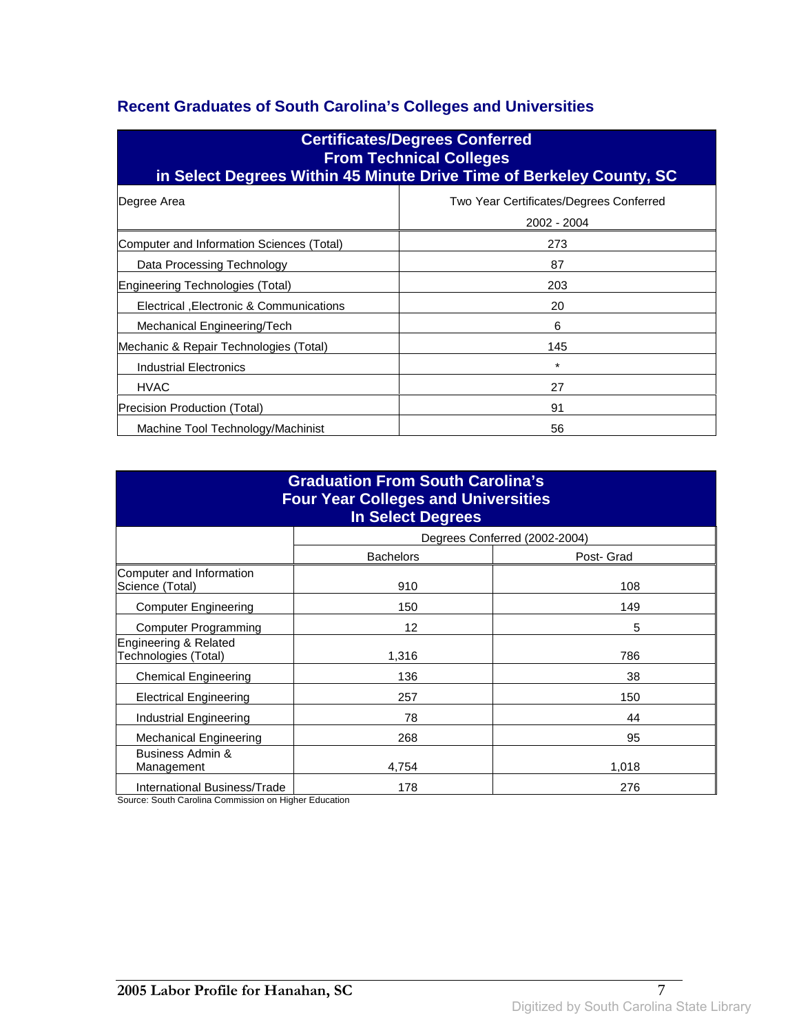### **Recent Graduates of South Carolina's Colleges and Universities**

| <b>Certificates/Degrees Conferred</b><br><b>From Technical Colleges</b><br>in Select Degrees Within 45 Minute Drive Time of Berkeley County, SC |         |  |  |
|-------------------------------------------------------------------------------------------------------------------------------------------------|---------|--|--|
| Two Year Certificates/Degrees Conferred<br>Degree Area<br>2002 - 2004                                                                           |         |  |  |
| Computer and Information Sciences (Total)                                                                                                       | 273     |  |  |
| Data Processing Technology                                                                                                                      | 87      |  |  |
| 203<br>Engineering Technologies (Total)                                                                                                         |         |  |  |
| Electrical , Electronic & Communications                                                                                                        | 20      |  |  |
| Mechanical Engineering/Tech                                                                                                                     | 6       |  |  |
| Mechanic & Repair Technologies (Total)                                                                                                          | 145     |  |  |
| Industrial Electronics                                                                                                                          | $\star$ |  |  |
| <b>HVAC</b>                                                                                                                                     | 27      |  |  |
| Precision Production (Total)                                                                                                                    | 91      |  |  |
| Machine Tool Technology/Machinist<br>56                                                                                                         |         |  |  |

| <b>Graduation From South Carolina's</b><br><b>Four Year Colleges and Universities</b><br><b>In Select Degrees</b> |                  |                               |  |  |
|-------------------------------------------------------------------------------------------------------------------|------------------|-------------------------------|--|--|
|                                                                                                                   |                  | Degrees Conferred (2002-2004) |  |  |
|                                                                                                                   | <b>Bachelors</b> | Post- Grad                    |  |  |
| Computer and Information<br>Science (Total)                                                                       | 910              | 108                           |  |  |
| <b>Computer Engineering</b>                                                                                       | 150              | 149                           |  |  |
| <b>Computer Programming</b>                                                                                       | 12               | 5                             |  |  |
| Engineering & Related<br>Technologies (Total)                                                                     | 1,316            | 786                           |  |  |
| <b>Chemical Engineering</b>                                                                                       | 136              | 38                            |  |  |
| <b>Electrical Engineering</b>                                                                                     | 257              | 150                           |  |  |
| Industrial Engineering                                                                                            | 78               | 44                            |  |  |
| <b>Mechanical Engineering</b>                                                                                     | 268              | 95                            |  |  |
| Business Admin &<br>Management                                                                                    | 4,754            | 1,018                         |  |  |
| <b>International Business/Trade</b>                                                                               | 178              | 276                           |  |  |

Source: South Carolina Commission on Higher Education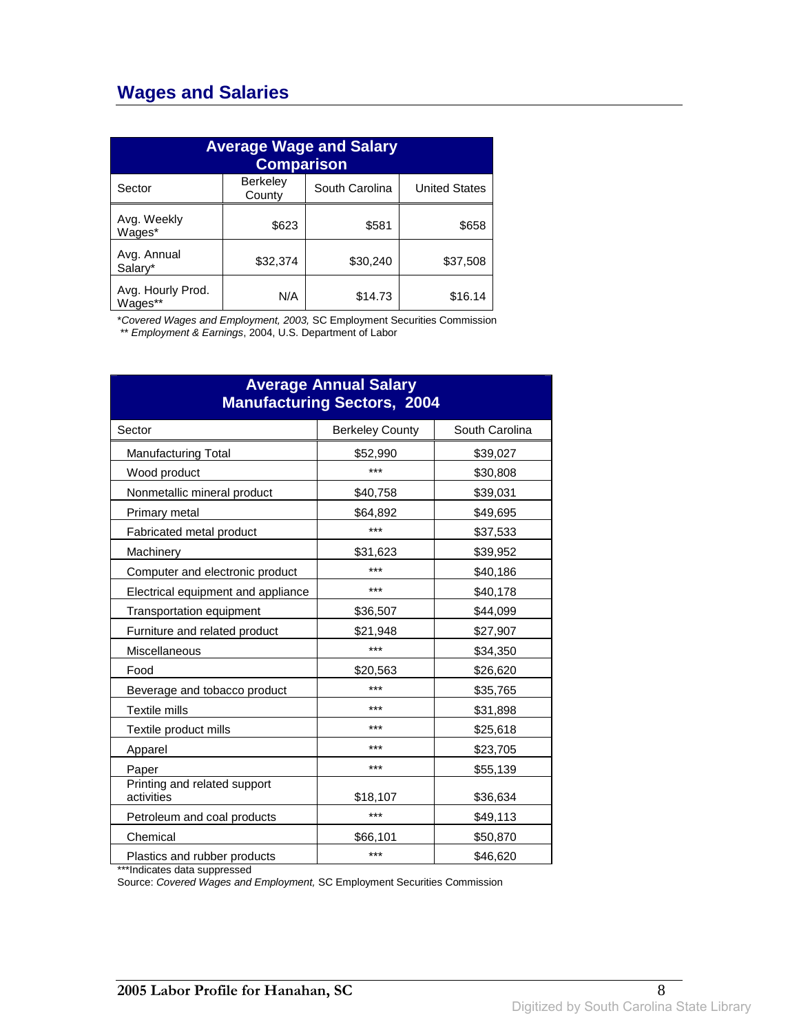## **Wages and Salaries**

| <b>Average Wage and Salary</b><br><b>Comparison</b> |                           |                |                      |  |
|-----------------------------------------------------|---------------------------|----------------|----------------------|--|
| Sector                                              | <b>Berkeley</b><br>County | South Carolina | <b>United States</b> |  |
| Avg. Weekly<br>Wages*                               | \$623                     | \$581          | \$658                |  |
| Avg. Annual<br>Salary*                              | \$32,374                  | \$30,240       | \$37,508             |  |
| Avg. Hourly Prod.<br>Wages**                        | N/A                       | \$14.73        | \$16.14              |  |

\*Covered Wages and Employment, 2003, SC Employment Securities Commission

\*\* Employment & Earnings, 2004, U.S. Department of Labor

| <b>Average Annual Salary</b><br><b>Manufacturing Sectors, 2004</b> |                        |                |  |
|--------------------------------------------------------------------|------------------------|----------------|--|
| Sector                                                             | <b>Berkeley County</b> | South Carolina |  |
| <b>Manufacturing Total</b>                                         | \$52,990               | \$39,027       |  |
| Wood product                                                       | ***                    | \$30,808       |  |
| Nonmetallic mineral product                                        | \$40,758               | \$39,031       |  |
| Primary metal                                                      | \$64,892               | \$49,695       |  |
| Fabricated metal product                                           | ***                    | \$37,533       |  |
| Machinery                                                          | \$31,623               | \$39,952       |  |
| Computer and electronic product                                    | ***                    | \$40,186       |  |
| Electrical equipment and appliance                                 | ***                    | \$40,178       |  |
| Transportation equipment                                           | \$36,507               | \$44,099       |  |
| Furniture and related product                                      | \$21,948               | \$27,907       |  |
| Miscellaneous                                                      | ***                    | \$34,350       |  |
| Food                                                               | \$20,563               | \$26,620       |  |
| Beverage and tobacco product                                       | ***                    | \$35,765       |  |
| Textile mills                                                      | ***                    | \$31,898       |  |
| Textile product mills                                              | ***                    | \$25,618       |  |
| Apparel                                                            | ***                    | \$23,705       |  |
| Paper                                                              | ***                    | \$55,139       |  |
| Printing and related support<br>activities                         | \$18,107               | \$36,634       |  |
| Petroleum and coal products                                        | ***                    | \$49,113       |  |
| Chemical                                                           | \$66,101               | \$50,870       |  |
| Plastics and rubber products                                       | ***                    | \$46,620       |  |

\*\*\*Indicates data suppressed

Source: Covered Wages and Employment, SC Employment Securities Commission